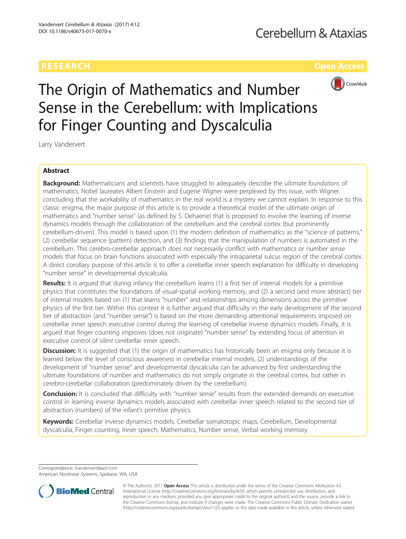

# The Origin of Mathematics and Number Sense in the Cerebellum: with Implications for Finger Counting and Dyscalculia

Larry Vandervert

# Abstract

**Background:** Mathematicians and scientists have struggled to adequately describe the ultimate foundations of mathematics. Nobel laureates Albert Einstein and Eugene Wigner were perplexed by this issue, with Wigner concluding that the workability of mathematics in the real world is a mystery we cannot explain. In response to this classic enigma, the major purpose of this article is to provide a theoretical model of the ultimate origin of mathematics and "number sense" (as defined by S. Dehaene) that is proposed to involve the learning of inverse dynamics models through the collaboration of the cerebellum and the cerebral cortex (but prominently cerebellum-driven). This model is based upon (1) the modern definition of mathematics as the "science of patterns," (2) cerebellar sequence (pattern) detection, and (3) findings that the manipulation of numbers is automated in the cerebellum. This cerebro-cerebellar approach does not necessarily conflict with mathematics or number sense models that focus on brain functions associated with especially the intraparietal sulcus region of the cerebral cortex. A direct corollary purpose of this article is to offer a cerebellar inner speech explanation for difficulty in developing "number sense" in developmental dyscalculia.

Results: It is argued that during infancy the cerebellum learns (1) a first tier of internal models for a primitive physics that constitutes the foundations of visual-spatial working memory, and (2) a second (and more abstract) tier of internal models based on (1) that learns "number" and relationships among dimensions across the primitive physics of the first tier. Within this context it is further argued that difficulty in the early development of the second tier of abstraction (and "number sense") is based on the more demanding attentional requirements imposed on cerebellar inner speech executive control during the learning of cerebellar inverse dynamics models. Finally, it is argued that finger counting improves (does not originate) "number sense" by extending focus of attention in executive control of silent cerebellar inner speech.

**Discussion:** It is suggested that (1) the origin of mathematics has historically been an enigma only because it is learned below the level of conscious awareness in cerebellar internal models, (2) understandings of the development of "number sense" and developmental dyscalculia can be advanced by first understanding the ultimate foundations of number and mathematics do not simply originate in the cerebral cortex, but rather in cerebro-cerebellar collaboration (predominately driven by the cerebellum).

Conclusion: It is concluded that difficulty with "number sense" results from the extended demands on executive control in learning inverse dynamics models associated with cerebellar inner speech related to the second tier of abstraction (numbers) of the infant's primitive physics.

**Keywords:** Cerebellar inverse dynamics models, Cerebellar somatotopic maps, Cerebellum, Developmental dyscalculia, Finger counting, Inner speech, Mathematics, Number sense, Verbal working memory

Correspondence: [lvandervert@aol.com](mailto:lvandervert@aol.com)

American Nonlinear Systems, Spokane, WA, USA



© The Author(s). 2017 **Open Access** This article is distributed under the terms of the Creative Commons Attribution 4.0 International License [\(http://creativecommons.org/licenses/by/4.0/](http://creativecommons.org/licenses/by/4.0/)), which permits unrestricted use, distribution, and reproduction in any medium, provided you give appropriate credit to the original author(s) and the source, provide a link to the Creative Commons license, and indicate if changes were made. The Creative Commons Public Domain Dedication waiver [\(http://creativecommons.org/publicdomain/zero/1.0/](http://creativecommons.org/publicdomain/zero/1.0/)) applies to the data made available in this article, unless otherwise stated.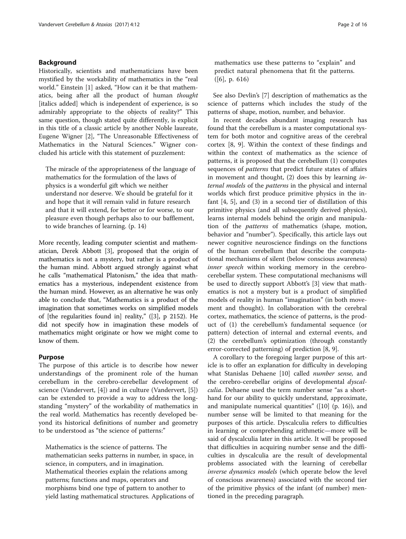#### Background

Historically, scientists and mathematicians have been mystified by the workability of mathematics in the "real world." Einstein [\[1](#page-13-0)] asked, "How can it be that mathematics, being after all the product of human thought [italics added] which is independent of experience, is so admirably appropriate to the objects of reality?" This same question, though stated quite differently, is explicit in this title of a classic article by another Noble laureate, Eugene Wigner [\[2](#page-13-0)], "The Unreasonable Effectiveness of Mathematics in the Natural Sciences." Wigner concluded his article with this statement of puzzlement:

The miracle of the appropriateness of the language of mathematics for the formulation of the laws of physics is a wonderful gift which we neither understand nor deserve. We should be grateful for it and hope that it will remain valid in future research and that it will extend, for better or for worse, to our pleasure even though perhaps also to our bafflement, to wide branches of learning. (p. 14)

More recently, leading computer scientist and mathematician, Derek Abbott [[3\]](#page-13-0), proposed that the origin of mathematics is not a mystery, but rather is a product of the human mind. Abbott argued strongly against what he calls "mathematical Platonism," the idea that mathematics has a mysterious, independent existence from the human mind. However, as an alternative he was only able to conclude that, "Mathematics is a product of the imagination that sometimes works on simplified models of [the regularities found in] reality," ([[3\]](#page-13-0), p 2152). He did not specify how in imagination these models of mathematics might originate or how we might come to know of them.

#### Purpose

The purpose of this article is to describe how newer understandings of the prominent role of the human cerebellum in the cerebro-cerebellar development of science (Vandervert, [\[4](#page-13-0)]) and in culture (Vandervert, [\[5](#page-13-0)]) can be extended to provide a way to address the longstanding "mystery" of the workability of mathematics in the real world. Mathematics has recently developed beyond its historical definitions of number and geometry to be understood as "the science of patterns:"

Mathematics is the science of patterns. The mathematician seeks patterns in number, in space, in science, in computers, and in imagination. Mathematical theories explain the relations among patterns; functions and maps, operators and morphisms bind one type of pattern to another to yield lasting mathematical structures. Applications of mathematics use these patterns to "explain" and predict natural phenomena that fit the patterns. ([\[6](#page-13-0)], p. 616)

See also Devlin's [\[7](#page-13-0)] description of mathematics as the science of patterns which includes the study of the patterns of shape, motion, number, and behavior.

In recent decades abundant imaging research has found that the cerebellum is a master computational system for both motor and cognitive areas of the cerebral cortex [[8, 9](#page-13-0)]. Within the context of these findings and within the context of mathematics as the science of patterns, it is proposed that the cerebellum (1) computes sequences of patterns that predict future states of affairs in movement and thought, (2) does this by learning internal models of the patterns in the physical and internal worlds which first produce primitive physics in the infant [\[4](#page-13-0), [5\]](#page-13-0), and (3) in a second tier of distillation of this primitive physics (and all subsequently derived physics), learns internal models behind the origin and manipulation of the patterns of mathematics (shape, motion, behavior and "number"). Specifically, this article lays out newer cognitive neuroscience findings on the functions of the human cerebellum that describe the computational mechanisms of silent (below conscious awareness) inner speech within working memory in the cerebrocerebellar system. These computational mechanisms will be used to directly support Abbott's [[3\]](#page-13-0) view that mathematics is not a mystery but is a product of simplified models of reality in human "imagination" (in both movement and thought). In collaboration with the cerebral cortex, mathematics, the science of patterns, is the product of (1) the cerebellum's fundamental sequence (or pattern) detection of internal and external events, and (2) the cerebellum's optimization (through constantly error-corrected patterning) of prediction [\[8, 9\]](#page-13-0).

A corollary to the foregoing larger purpose of this article is to offer an explanation for difficulty in developing what Stanislas Dehaene [[10\]](#page-13-0) called number sense, and the cerebro-cerebellar origins of developmental dyscalculia. Dehaene used the term number sense "as a shorthand for our ability to quickly understand, approximate, and manipulate numerical quantities" ([[10\]](#page-13-0) (p. 16)), and number sense will be limited to that meaning for the purposes of this article. Dyscalculia refers to difficulties in learning or comprehending arithmetic—more will be said of dyscalculia later in this article. It will be proposed that difficulties in acquiring number sense and the difficulties in dyscalculia are the result of developmental problems associated with the learning of cerebellar inverse dynamics models (which operate below the level of conscious awareness) associated with the second tier of the primitive physics of the infant (of number) mentioned in the preceding paragraph.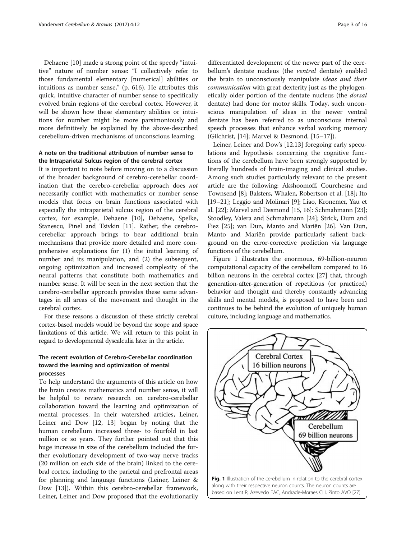<span id="page-2-0"></span>Dehaene [\[10](#page-13-0)] made a strong point of the speedy "intuitive" nature of number sense: "I collectively refer to those fundamental elementary [numerical] abilities or intuitions as number sense," (p. 616). He attributes this quick, intuitive character of number sense to specifically evolved brain regions of the cerebral cortex. However, it will be shown how these elementary abilities or intuitions for number might be more parsimoniously and more definitively be explained by the above-described cerebellum-driven mechanisms of unconscious learning.

### A note on the traditional attribution of number sense to the Intraparietal Sulcus region of the cerebral cortex

It is important to note before moving on to a discussion of the broader background of cerebro-cerebellar coordination that the cerebro-cerebellar approach does not necessarily conflict with mathematics or number sense models that focus on brain functions associated with especially the intraparietal sulcus region of the cerebral cortex, for example, Dehaene [\[10](#page-13-0)], Dehaene, Spelke, Stanescu, Pinel and Tsivkin [[11\]](#page-13-0). Rather, the cerebrocerebellar approach brings to bear additional brain mechanisms that provide more detailed and more comprehensive explanations for (1) the initial learning of number and its manipulation, and (2) the subsequent, ongoing optimization and increased complexity of the neural patterns that constitute both mathematics and number sense. It will be seen in the next section that the cerebro-cerebellar approach provides these same advantages in all areas of the movement and thought in the cerebral cortex.

For these reasons a discussion of these strictly cerebral cortex-based models would be beyond the scope and space limitations of this article. We will return to this point in regard to developmental dyscalculia later in the article.

#### The recent evolution of Cerebro-Cerebellar coordination toward the learning and optimization of mental processes

To help understand the arguments of this article on how the brain creates mathematics and number sense, it will be helpful to review research on cerebro-cerebellar collaboration toward the learning and optimization of mental processes. In their watershed articles, Leiner, Leiner and Dow [[12, 13](#page-13-0)] began by noting that the human cerebellum increased three- to fourfold in last million or so years. They further pointed out that this huge increase in size of the cerebellum included the further evolutionary development of two-way nerve tracks (20 million on each side of the brain) linked to the cerebral cortex, including to the parietal and prefrontal areas for planning and language functions (Leiner, Leiner & Dow [[13\]](#page-13-0)). Within this cerebro-cerebellar framework, Leiner, Leiner and Dow proposed that the evolutionarily

differentiated development of the newer part of the cerebellum's dentate nucleus (the ventral dentate) enabled the brain to unconsciously manipulate ideas and their communication with great dexterity just as the phylogenetically older portion of the dentate nucleus (the dorsal dentate) had done for motor skills. Today, such unconscious manipulation of ideas in the newer ventral dentate has been referred to as unconscious internal speech processes that enhance verbal working memory (Gilchrist, [[14](#page-13-0)]; Marvel & Desmond, [\[15](#page-13-0)–[17\]](#page-13-0)).

Leiner, Leiner and Dow's [12.13] foregoing early speculations and hypothesis concerning the cognitive functions of the cerebellum have been strongly supported by literally hundreds of brain-imaging and clinical studies. Among such studies particularly relevant to the present article are the following: Akshoomoff, Courchesne and Townsend [\[8\]](#page-13-0); Balsters, Whalen, Robertson et al. [\[18\]](#page-14-0); Ito [[19](#page-14-0)–[21\]](#page-14-0); Leggio and Molinari [\[9\]](#page-13-0); Liao, Kronemer, Yau et al. [\[22](#page-14-0)]; Marvel and Desmond [\[15](#page-13-0), [16\]](#page-13-0): Schmahmann [[23](#page-14-0)]; Stoodley, Valera and Schmahmann [[24](#page-14-0)]; Strick, Dum and Fiez [[25](#page-14-0)]; van Dun, Manto and Mariën [[26\]](#page-14-0). Van Dun, Manto and Mariën provide particularly salient background on the error-corrective prediction via language functions of the cerebellum.

Figure 1 illustrates the enormous, 69-billion-neuron computational capacity of the cerebellum compared to 16 billion neurons in the cerebral cortex [[27](#page-14-0)] that, through generation-after-generation of repetitious (or practiced) behavior and thought and thereby constantly advancing skills and mental models, is proposed to have been and continues to be behind the evolution of uniquely human culture, including language and mathematics.

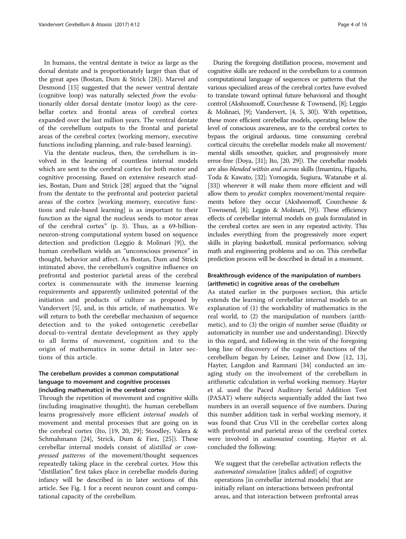In humans, the ventral dentate is twice as large as the dorsal dentate and is proportionately larger than that of the great apes (Bostan, Dum & Strick [[28\]](#page-14-0)). Marvel and Desmond [[15\]](#page-13-0) suggested that the newer ventral dentate (cognitive loop) was naturally selected from the evolutionarily older dorsal dentate (motor loop) as the cerebellar cortex and frontal areas of cerebral cortex expanded over the last million years. The ventral dentate of the cerebellum outputs to the frontal and parietal areas of the cerebral cortex (working memory, executive functions including planning, and rule-based learning).

Via the dentate nucleus, then, the cerebellum is involved in the learning of countless internal models which are sent to the cerebral cortex for both motor and cognitive processing. Based on extensive research studies, Bostan, Dum and Strick [[28\]](#page-14-0) argued that the "signal from the dentate to the prefrontal and posterior parietal areas of the cortex [working memory, executive functions and rule-based learning] is as important to their function as the signal the nucleus sends to motor areas of the cerebral cortex" (p. 3). Thus, as a 69-billionneuron-strong computational system based on sequence detection and prediction (Leggio & Molinari [[9\]](#page-13-0)), the human cerebellum wields an "unconscious presence" in thought, behavior and affect. As Bostan, Dum and Strick intimated above, the cerebellum's cognitive influence on prefrontal and posterior parietal areas of the cerebral cortex is commensurate with the immense learning requirements and apparently unlimited potential of the initiation and products of culture as proposed by Vandervert [\[5\]](#page-13-0), and, in this article, of mathematics. We will return to both the cerebellar mechanism of sequence detection and to the yoked ontogenetic cerebellar dorsal-to-ventral dentate development as they apply to all forms of movement, cognition and to the origin of mathematics in some detail in later sections of this article.

# The cerebellum provides a common computational language to movement and cognitive processes (including mathematics) in the cerebral cortex

Through the repetition of movement and cognitive skills (including imaginative thought), the human cerebellum learns progressively more efficient internal models of movement and mental processes that are going on in the cerebral cortex (Ito, [\[19, 20, 29](#page-14-0)]; Stoodley, Valera & Schmahmann [[24\]](#page-14-0), Strick, Dum & Fiez, [\[25\]](#page-14-0)). These cerebellar internal models consist of distilled or compressed patterns of the movement/thought sequences repeatedly taking place in the cerebral cortex. How this "distillation" first takes place in cerebellar models during infancy will be described in in later sections of this article. See Fig. [1](#page-2-0) for a recent neuron count and computational capacity of the cerebellum.

During the foregoing distillation process, movement and cognitive skills are reduced in the cerebellum to a common computational language of sequences or patterns that the various specialized areas of the cerebral cortex have evolved to translate toward optimal future behavioral and thought control (Akshoomoff, Courchesne & Townsend, [\[8\]](#page-13-0); Leggio & Molinari, [\[9](#page-13-0)]; Vandervert, [\[4, 5](#page-13-0), [30\]](#page-14-0)). With repetition, these more efficient cerebellar models, operating below the level of conscious awareness, are to the cerebral cortex to bypass the original arduous, time consuming cerebral cortical circuits; the cerebellar models make all movement/ mental skills smoother, quicker, and progressively more error-free (Doya, [\[31\]](#page-14-0); Ito, [\[20, 29\]](#page-14-0)). The cerebellar models are also blended within and across skills (Imamizu, Higuchi, Toda & Kawato, [\[32\]](#page-14-0); Yomogida, Sugiura, Watanabe et al. [[33](#page-14-0)]) wherever it will make them more efficient and will allow them to *predict* complex movement/mental requirements before they occur (Akshoomoff, Courchesne & Townsend, [[8](#page-13-0)]; Leggio & Molinari, [\[9](#page-13-0)]). These efficiency effects of cerebellar internal models on goals formulated in the cerebral cortex are seen in any repeated activity. This includes everything from the progressively more expert skills in playing basketball, musical performance, solving math and engineering problems and so on. This cerebellar prediction process will be described in detail in a moment.

# Breakthrough evidence of the manipulation of numbers (arithmetic) in cognitive areas of the cerebellum

As stated earlier in the purposes section, this article extends the learning of cerebellar internal models to an explanation of (1) the workability of mathematics in the real world, to (2) the manipulation of numbers (arithmetic), and to (3) the origin of number sense (fluidity or automaticity in number use and understanding). Directly in this regard, and following in the vein of the foregoing long line of discovery of the cognitive functions of the cerebellum began by Leiner, Leiner and Dow [[12, 13](#page-13-0)], Hayter, Langdon and Ramnani [\[34\]](#page-14-0) conducted an imaging study on the involvement of the cerebellum in arithmetic calculation in verbal working memory. Hayter et al. used the Paced Auditory Serial Addition Test (PASAT) where subjects sequentially added the last two numbers in an overall sequence of five numbers. During this number addition task in verbal working memory, it was found that Crus VII in the cerebellar cortex along with prefrontal and parietal areas of the cerebral cortex were involved in automated counting. Hayter et al. concluded the following:

We suggest that the cerebellar activation reflects the automated simulation [italics added] of cognitive operations [in cerebellar internal models] that are initially reliant on interactions between prefrontal areas, and that interaction between prefrontal areas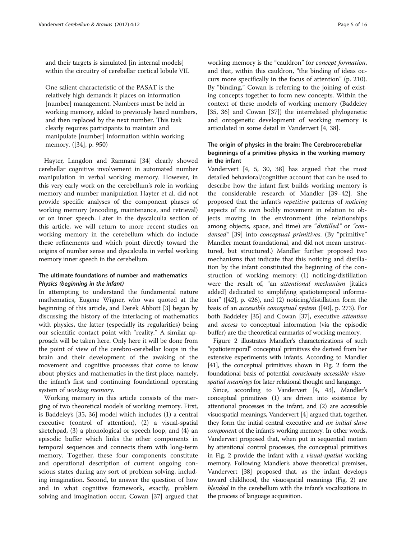and their targets is simulated [in internal models] within the circuitry of cerebellar cortical lobule VII.

One salient characteristic of the PASAT is the relatively high demands it places on information [number] management. Numbers must be held in working memory, added to previously heard numbers, and then replaced by the next number. This task clearly requires participants to maintain and manipulate [number] information within working memory. ([\[34\]](#page-14-0), p. 950)

Hayter, Langdon and Ramnani [\[34](#page-14-0)] clearly showed cerebellar cognitive involvement in automated number manipulation in verbal working memory. However, in this very early work on the cerebellum's role in working memory and number manipulation Hayter et al. did not provide specific analyses of the component phases of working memory (encoding, maintenance, and retrieval) or on inner speech. Later in the dyscalculia section of this article, we will return to more recent studies on working memory in the cerebellum which do include these refinements and which point directly toward the origins of number sense and dyscalculia in verbal working memory inner speech in the cerebellum.

# The ultimate foundations of number and mathematics

In attempting to understand the fundamental nature mathematics, Eugene Wigner, who was quoted at the beginning of this article, and Derek Abbott [\[3](#page-13-0)] began by discussing the history of the interlacing of mathematics with physics, the latter (especially its regularities) being our scientific contact point with "reality." A similar approach will be taken here. Only here it will be done from the point of view of the cerebro-cerebellar loops in the brain and their development of the awaking of the movement and cognitive processes that come to know about physics and mathematics in the first place, namely, the infant's first and continuing foundational operating system of working memory.

Working memory in this article consists of the merging of two theoretical models of working memory. First, is Baddeley's [[35](#page-14-0), [36\]](#page-14-0) model which includes (1) a central executive (control of attention), (2) a visual-spatial sketchpad, (3) a phonological or speech loop, and (4) an episodic buffer which links the other components in temporal sequences and connects them with long-term memory. Together, these four components constitute and operational description of current ongoing conscious states during any sort of problem solving, including imagination. Second, to answer the question of how and in what cognitive framework, exactly, problem solving and imagination occur, Cowan [[37](#page-14-0)] argued that working memory is the "cauldron" for concept formation, and that, within this cauldron, "the binding of ideas occurs more specifically in the focus of attention" (p. 210). By "binding," Cowan is referring to the joining of existing concepts together to form new concepts. Within the context of these models of working memory (Baddeley [[35, 36](#page-14-0)] and Cowan [\[37](#page-14-0)]) the interrelated phylogenetic and ontogenetic development of working memory is articulated in some detail in Vandervert [[4,](#page-13-0) [38\]](#page-14-0).

# The origin of physics in the brain: The Cerebrocerebellar beginnings of a primitive physics in the working memory in the infant

Vandervert [\[4](#page-13-0), [5,](#page-13-0) [30, 38\]](#page-14-0) has argued that the most detailed behavioral/cognitive account that can be used to describe how the infant first builds working memory is the considerable research of Mandler [[39](#page-14-0)–[42](#page-14-0)]. She proposed that the infant's repetitive patterns of noticing aspects of its own bodily movement in relation to objects moving in the environment (the relationships among objects, space, and time) are "distilled" or "con-densed" [\[39](#page-14-0)] into conceptual primitives. (By "primitive" Mandler meant foundational, and did not mean unstructured, but structured.) Mandler further proposed two mechanisms that indicate that this noticing and distillation by the infant constituted the beginning of the construction of working memory: (1) noticing/distillation were the result of, "an attentional mechanism [italics added] dedicated to simplifying spatiotemporal information" ([\[42\]](#page-14-0), p. 426), and (2) noticing/distillation form the basis of an accessible conceptual system ([[40](#page-14-0)], p. 273). For both Baddeley [\[35](#page-14-0)] and Cowan [[37](#page-14-0)], executive attention and access to conceptual information (via the episodic buffer) are the theoretical earmarks of working memory.

Figure [2](#page-5-0) illustrates Mandler's characterizations of such "spatiotemporal" conceptual primitives she derived from her extensive experiments with infants. According to Mandler [[41\]](#page-14-0), the conceptual primitives shown in Fig. [2](#page-5-0) form the foundational basis of potential consciously accessible visuospatial meanings for later relational thought and language.

Since, according to Vandervert [\[4,](#page-13-0) [43\]](#page-14-0), Mandler's conceptual primitives (1) are driven into existence by attentional processes in the infant, and (2) are accessible visuospatial meanings, Vandervert [\[4\]](#page-13-0) argued that, together, they form the initial central executive and *an initial slave* component of the infant's working memory. In other words, Vandervert proposed that, when put in sequential motion by attentional control processes, the conceptual primitives in Fig. [2](#page-5-0) provide the infant with a visual-spatial working memory. Following Mandler's above theoretical premises, Vandervert [[38\]](#page-14-0) proposed that, as the infant develops toward childhood, the visuospatial meanings (Fig. [2\)](#page-5-0) are blended in the cerebellum with the infant's vocalizations in the process of language acquisition.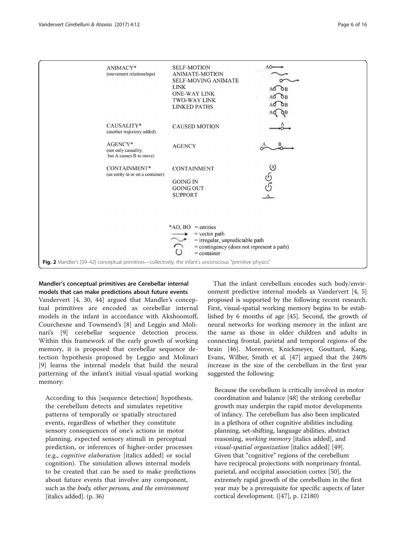<span id="page-5-0"></span>

|                                                                                                                            | ANIMACY*<br>(movement relationships)                       | <b>SELF-MOTION</b><br><b>ANIMATE-MOTION</b><br><b>SELF-MOVING ANIMATE</b><br><b>LINK</b><br><b>ONE-WAY LINK</b><br><b>TWO-WAY LINK</b><br><b>LINKED PATHS</b> | AO<br>OВ |
|----------------------------------------------------------------------------------------------------------------------------|------------------------------------------------------------|---------------------------------------------------------------------------------------------------------------------------------------------------------------|----------|
|                                                                                                                            | CAUSALITY*<br>(another trajectory added)                   | <b>CAUSED MOTION</b>                                                                                                                                          |          |
|                                                                                                                            | AGENCY*<br>(not only causality,<br>but A causes B to move) | <b>AGENCY</b>                                                                                                                                                 |          |
|                                                                                                                            | CONTAINMENT*<br>(an entity in or on a container)           | <b>CONTAINMENT</b>                                                                                                                                            |          |
|                                                                                                                            |                                                            | <b>GOING IN</b><br><b>GOING OUT</b><br><b>SUPPORT</b>                                                                                                         |          |
|                                                                                                                            |                                                            | *AO, BO = entities<br>$=$ vector path<br>$=$ irregular, unpredictable path<br>$=$ contingency (does not represent a path)                                     |          |
| $=$ container<br>Fig. 2 Mandler's [39-42] conceptual primitives—collectively, the infant's unconscious "primitive physics" |                                                            |                                                                                                                                                               |          |

#### Mandler's conceptual primitives are Cerebellar internal models that can make predictions about future events

Vandervert [[4,](#page-13-0) [30, 44\]](#page-14-0) argued that Mandler's conceptual primitives are encoded as cerebellar internal models in the infant in accordance with Akshoomoff, Courchesne and Townsend's [\[8](#page-13-0)] and Leggio and Molinari's [[9\]](#page-13-0) cerebellar sequence detection process. Within this framework of the early growth of working memory, it is proposed that cerebellar sequence detection hypothesis proposed by Leggio and Molinari [[9\]](#page-13-0) learns the internal models that build the neural patterning of the infant's initial visual-spatial working memory:

According to this [sequence detection] hypothesis, the cerebellum detects and simulates repetitive patterns of temporally or spatially structured events, regardless of whether they constitute sensory consequences of one's actions in motor planning, expected sensory stimuli in perceptual prediction, or inferences of higher-order processes (e.g., cognitive elaboration [italics added] or social cognition). The simulation allows internal models to be created that can be used to make predictions about future events that involve any component, such as the body, other persons, and the environment [italics added]. (p. 36)

That the infant cerebellum encodes such body/environment predictive internal models as Vandervert [\[4](#page-13-0), [5](#page-13-0)] proposed is supported by the following recent research. First, visual-spatial working memory begins to be established by 6 months of age [[45](#page-14-0)]. Second, the growth of neural networks for working memory in the infant are the same as those in older children and adults in connecting frontal, parietal and temporal regions of the brain [\[46\]](#page-14-0). Moreover, Knickmeyer, Gouttard, Kang, Evans, Wilber, Smith et al. [\[47](#page-14-0)] argued that the 240% increase in the size of the cerebellum in the first year suggested the following:

Because the cerebellum is critically involved in motor coordination and balance [[48](#page-14-0)] the striking cerebellar growth may underpin the rapid motor developments of infancy. The cerebellum has also been implicated in a plethora of other cognitive abilities including planning, set-shifting, language abilities, abstract reasoning, working memory [italics added], and visual-spatial organization [italics added] [\[49\]](#page-14-0). Given that "cognitive" regions of the cerebellum have reciprocal projections with nonprimary frontal, parietal, and occipital association cortex [[50\]](#page-14-0), the extremely rapid growth of the cerebellum in the first year may be a prerequisite for specific aspects of later cortical development. ([\[47\]](#page-14-0), p. 12180)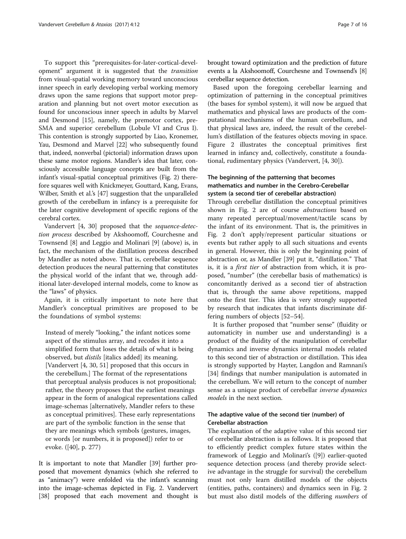To support this "prerequisites-for-later-cortical-development" argument it is suggested that the transition from visual-spatial working memory toward unconscious inner speech in early developing verbal working memory draws upon the same regions that support motor preparation and planning but not overt motor execution as found for unconscious inner speech in adults by Marvel and Desmond [[15\]](#page-13-0), namely, the premotor cortex, pre-SMA and superior cerebellum (Lobule VI and Crus I). This contention is strongly supported by Liao, Kronemer, Yau, Desmond and Marvel [[22\]](#page-14-0) who subsequently found that, indeed, nonverbal (pictorial) information draws upon these same motor regions. Mandler's idea that later, consciously accessible language concepts are built from the infant's visual-spatial conceptual primitives (Fig. [2\)](#page-5-0) therefore squares well with Knickmeyer, Gouttard, Kang, Evans, Wilber, Smith et al.'s [\[47\]](#page-14-0) suggestion that the unparalleled growth of the cerebellum in infancy is a prerequisite for the later cognitive development of specific regions of the cerebral cortex.

Vandervert [[4,](#page-13-0) [30](#page-14-0)] proposed that the sequence-detection process described by Akshoomoff, Courchesne and Townsend [[8\]](#page-13-0) and Leggio and Molinari [\[9\]](#page-13-0) (above) is, in fact, the mechanism of the distillation process described by Mandler as noted above. That is, cerebellar sequence detection produces the neural patterning that constitutes the physical world of the infant that we, through additional later-developed internal models, come to know as the "laws" of physics.

Again, it is critically important to note here that Mandler's conceptual primitives are proposed to be the foundations of symbol systems:

Instead of merely "looking," the infant notices some aspect of the stimulus array, and recodes it into a simplified form that loses the details of what is being observed, but distils [italics added] its meaning. [Vandervert [\[4](#page-13-0), [30](#page-14-0), [51\]](#page-14-0) proposed that this occurs in the cerebellum.] The format of the representations that perceptual analysis produces is not propositional; rather, the theory proposes that the earliest meanings appear in the form of analogical representations called image-schemas [alternatively, Mandler refers to these as conceptual primitives]. These early representations are part of the symbolic function in the sense that they are meanings which symbols (gestures, images, or words [or numbers, it is proposed]) refer to or evoke. ([[40](#page-14-0)], p. 277)

It is important to note that Mandler [\[39](#page-14-0)] further proposed that movement dynamics (which she referred to as "animacy") were enfolded via the infant's scanning into the image-schemas depicted in Fig. [2](#page-5-0). Vandervert [[38\]](#page-14-0) proposed that each movement and thought is brought toward optimization and the prediction of future events a la Akshoomoff, Courchesne and Townsend's [[8](#page-13-0)] cerebellar sequence detection.

Based upon the foregoing cerebellar learning and optimization of patterning in the conceptual primitives (the bases for symbol system), it will now be argued that mathematics and physical laws are products of the computational mechanisms of the human cerebellum, and that physical laws are, indeed, the result of the cerebellum's distillation of the features objects moving in space. Figure [2](#page-5-0) illustrates the conceptual primitives first learned in infancy and, collectively, constitute a foundational, rudimentary physics (Vandervert, [[4,](#page-13-0) [30\]](#page-14-0)).

# The beginning of the patterning that becomes mathematics and number in the Cerebro-Cerebellar system (a second tier of cerebellar abstraction)

Through cerebellar distillation the conceptual primitives shown in Fig. [2](#page-5-0) are of course abstractions based on many repeated perceptual/movement/tactile scans by the infant of its environment. That is, the primitives in Fig. [2](#page-5-0) don't apply/represent particular situations or events but rather apply to all such situations and events in general. However, this is only the beginning point of abstraction or, as Mandler [\[39](#page-14-0)] put it, "distillation." That is, it is a first tier of abstraction from which, it is proposed, "number" (the cerebellar basis of mathematics) is concomitantly derived as a second tier of abstraction that is, through the same above repetitions, mapped onto the first tier. This idea is very strongly supported by research that indicates that infants discriminate differing numbers of objects [[52](#page-14-0)–[54](#page-14-0)].

It is further proposed that "number sense" (fluidity or automaticity in number use and understanding) is a product of the fluidity of the manipulation of cerebellar dynamics and inverse dynamics internal models related to this second tier of abstraction or distillation. This idea is strongly supported by Hayter, Langdon and Ramnani's [[34\]](#page-14-0) findings that number manipulation is automated in the cerebellum. We will return to the concept of number sense as a unique product of cerebellar inverse dynamics models in the next section.

# The adaptive value of the second tier (number) of Cerebellar abstraction

The explanation of the adaptive value of this second tier of cerebellar abstraction is as follows. It is proposed that to efficiently predict complex future states within the framework of Leggio and Molinari's ([[9\]](#page-13-0)) earlier-quoted sequence detection process (and thereby provide selective advantage in the struggle for survival) the cerebellum must not only learn distilled models of the objects (entities, paths, containers) and dynamics seen in Fig. [2](#page-5-0) but must also distil models of the differing *numbers* of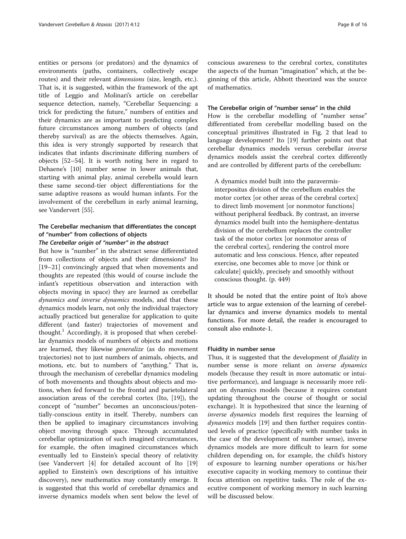entities or persons (or predators) and the dynamics of environments (paths, containers, collectively escape routes) and their relevant dimensions (size, length, etc.). That is, it is suggested, within the framework of the apt title of Leggio and Molinari's article on cerebellar sequence detection, namely, "Cerebellar Sequencing: a trick for predicting the future," numbers of entities and their dynamics are as important to predicting complex future circumstances among numbers of objects (and thereby survival) as are the objects themselves. Again, this idea is very strongly supported by research that indicates that infants discriminate differing numbers of objects [[52](#page-14-0)–[54](#page-14-0)]. It is worth noting here in regard to Dehaene's [[10](#page-13-0)] number sense in lower animals that, starting with animal play, animal cerebella would learn these same second-tier object differentiations for the same adaptive reasons as would human infants. For the involvement of the cerebellum in early animal learning, see Vandervert [\[55\]](#page-14-0).

# The Cerebellar mechanism that differentiates the concept of "number" from collections of objects

#### The Cerebellar origin of "number" in the abstract

But how is "number" in the abstract sense differentiated from collections of objects and their dimensions? Ito [[19](#page-14-0)–[21](#page-14-0)] convincingly argued that when movements and thoughts are repeated (this would of course include the infant's repetitious observation and interaction with objects moving in space) they are learned as cerebellar dynamics and inverse dynamics models, and that these dynamics models learn, not only the individual trajectory actually practiced but generalize for application to quite different (and faster) trajectories of movement and thought.<sup>1</sup> Accordingly, it is proposed that when cerebellar dynamics models of numbers of objects and motions are learned, they likewise generalize (as do movement trajectories) not to just numbers of animals, objects, and motions, etc. but to numbers of "anything." That is, through the mechanism of cerebellar dynamics modeling of both movements and thoughts about objects and motions, when fed forward to the frontal and parietolateral association areas of the cerebral cortex (Ito, [19]), the concept of "number" becomes an unconscious/potentially-conscious entity in itself. Thereby, numbers can then be applied to imaginary circumstances involving object moving through space. Through accumulated cerebellar optimization of such imagined circumstances, for example, the often imagined circumstances which eventually led to Einstein's special theory of relativity (see Vandervert [\[4\]](#page-13-0) for detailed account of Ito [[19](#page-14-0)] applied to Einstein's own descriptions of his intuitive discovery), new mathematics may constantly emerge. It is suggested that this world of cerebellar dynamics and inverse dynamics models when sent below the level of conscious awareness to the cerebral cortex, constitutes the aspects of the human "imagination" which, at the beginning of this article, Abbott theorized was the source of mathematics.

#### The Cerebellar origin of "number sense" in the child

How is the cerebellar modelling of "number sense" differentiated from cerebellar modelling based on the conceptual primitives illustrated in Fig. [2](#page-5-0) that lead to language development? Ito [[19\]](#page-14-0) further points out that cerebellar dynamics models versus cerebellar inverse dynamics models assist the cerebral cortex differently and are controlled by different parts of the cerebellum:

A dynamics model built into the paravermisinterpositus division of the cerebellum enables the motor cortex [or other areas of the cerebral cortex] to direct limb movement [or nonmotor functions] without peripheral feedback. By contrast, an inverse dynamics model built into the hemisphere-dentatus division of the cerebellum replaces the controller task of the motor cortex [or nonmotor areas of the cerebral cortex], rendering the control more automatic and less conscious. Hence, after repeated exercise, one becomes able to move [or think or calculate] quickly, precisely and smoothly without conscious thought. (p. 449)

It should be noted that the entire point of Ito's above article was to argue extension of the learning of cerebellar dynamics and inverse dynamics models to mental functions. For more detail, the reader is encouraged to consult also endnote-1.

#### Fluidity in number sense

Thus, it is suggested that the development of *fluidity* in number sense is more reliant on inverse dynamics models (because they result in more automatic or intuitive performance), and language is necessarily more reliant on dynamics models (because it requires constant updating throughout the course of thought or social exchange). It is hypothesized that since the learning of inverse dynamics models first requires the learning of dynamics models [[19\]](#page-14-0) and then further requires continued levels of practice (specifically with number tasks in the case of the development of number sense), inverse dynamics models are more difficult to learn for some children depending on, for example, the child's history of exposure to learning number operations or his/her executive capacity in working memory to continue their focus attention on repetitive tasks. The role of the executive component of working memory in such learning will be discussed below.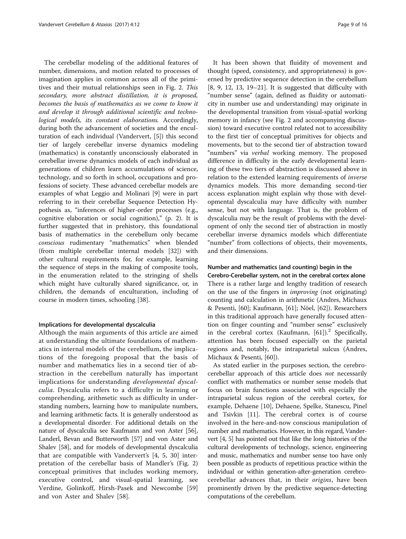The cerebellar modeling of the additional features of number, dimensions, and motion related to processes of imagination applies in common across all of the primitives and their mutual relationships seen in Fig. [2.](#page-5-0) This secondary, more abstract distillation, it is proposed, becomes the basis of mathematics as we come to know it and develop it through additional scientific and technological models, its constant elaborations. Accordingly, during both the advancement of societies and the enculturation of each individual (Vandervert, [[5\]](#page-13-0)) this second tier of largely cerebellar inverse dynamics modeling (mathematics) is constantly unconsciously elaborated in cerebellar inverse dynamics models of each individual as generations of children learn accumulations of science, technology, and so forth in school, occupations and professions of society. These advanced cerebellar models are examples of what Leggio and Molinari [[9\]](#page-13-0) were in part referring to in their cerebellar Sequence Detection Hypothesis as, "inferences of higher-order processes (e.g., cognitive elaboration or social cognition)," (p. 2). It is further suggested that in prehistory, this foundational basis of mathematics in the cerebellum only became conscious rudimentary "mathematics" when blended (from multiple cerebellar internal models [[32\]](#page-14-0)) with other cultural requirements for, for example, learning the sequence of steps in the making of composite tools, in the enumeration related to the stringing of shells which might have culturally shared significance, or, in children, the demands of enculturation, including of course in modern times, schooling [[38](#page-14-0)].

#### Implications for developmental dyscalculia

Although the main arguments of this article are aimed at understanding the ultimate foundations of mathematics in internal models of the cerebellum, the implications of the foregoing proposal that the basis of number and mathematics lies in a second tier of abstraction in the cerebellum naturally has important implications for understanding developmental dyscalculia. Dyscalculia refers to a difficulty in learning or comprehending, arithmetic such as difficulty in understanding numbers, learning how to manipulate numbers, and learning arithmetic facts. It is generally understood as a developmental disorder. For additional details on the nature of dyscalculia see Kaufmann and von Aster [[56](#page-14-0)], Landerl, Bevan and Butterworth [\[57\]](#page-14-0) and von Aster and Shalev [\[58\]](#page-14-0), and for models of developmental dyscalculia that are compatible with Vandervert's [\[4](#page-13-0), [5](#page-13-0), [30\]](#page-14-0) interpretation of the cerebellar basis of Mandler's (Fig. [2](#page-5-0)) conceptual primitives that includes working memory, executive control, and visual-spatial learning, see Verdine, Golinkoff, Hirsh-Pasek and Newcombe [\[59](#page-14-0)] and von Aster and Shalev [[58\]](#page-14-0).

It has been shown that fluidity of movement and thought (speed, consistency, and appropriateness) is governed by predictive sequence detection in the cerebellum [[8, 9, 12, 13,](#page-13-0) [19](#page-14-0)–[21](#page-14-0)]. It is suggested that difficulty with "number sense" (again, defined as fluidity or automaticity in number use and understanding) may originate in the developmental transition from visual-spatial working memory in infancy (see Fig. [2](#page-5-0) and accompanying discussion) toward executive control related not to accessibility to the first tier of conceptual primitives for objects and movements, but to the second tier of abstraction toward "numbers" via verbal working memory. The proposed difference in difficulty in the early developmental learning of these two tiers of abstraction is discussed above in relation to the extended learning requirements of *inverse* dynamics models. This more demanding second-tier access explanation might explain why those with developmental dyscalculia may have difficulty with number sense, but not with language. That is, the problem of dyscalculia may be the result of problems with the development of only the second tier of abstraction in mostly cerebellar inverse dynamics models which differentiate "number" from collections of objects, their movements, and their dimensions.

# Number and mathematics (and counting) begin in the

Cerebro-Cerebellar system, not in the cerebral cortex alone There is a rather large and lengthy tradition of research on the use of the fingers in improving (not originating) counting and calculation in arithmetic (Andres, Michaux & Pesenti, [[60\]](#page-14-0); Kaufmann, [\[61](#page-14-0)]; Nöel, [[62\]](#page-14-0)). Researchers in this traditional approach have generally focused attention on finger counting and "number sense" exclusively in the cerebral cortex (Kaufmann,  $[61]$  $[61]$ ).<sup>2</sup> Specifically, attention has been focused especially on the parietal regions and, notably, the intraparietal sulcus (Andres, Michaux & Pesenti, [\[60\]](#page-14-0)).

As stated earlier in the purposes section, the cerebrocerebellar approach of this article does not necessarily conflict with mathematics or number sense models that focus on brain functions associated with especially the intraparietal sulcus region of the cerebral cortex, for example, Dehaene [[10\]](#page-13-0), Dehaene, Spelke, Stanescu, Pinel and Tsivkin [\[11](#page-13-0)]. The cerebral cortex is of course involved in the here-and-now conscious manipulation of number and mathematics. However, in this regard, Vandervert [[4](#page-13-0), [5\]](#page-13-0) has pointed out that like the long histories of the cultural developments of technology, science, engineering and music, mathematics and number sense too have only been possible as products of repetitious practice within the individual or within generation-after-generation cerebrocerebellar advances that, in their origins, have been prominently driven by the predictive sequence-detecting computations of the cerebellum.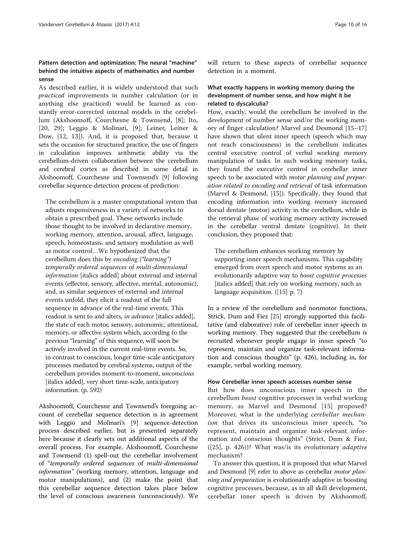# Pattern detection and optimization: The neural "machine" behind the intuitive aspects of mathematics and number sense

As described earlier, it is widely understood that such practiced improvements in number calculation (or in anything else practiced) would be learned as constantly error-corrected internal models in the cerebellum (Akshoomoff, Courchesne & Townsend, [[8\]](#page-13-0); Ito, [[20, 29\]](#page-14-0); Leggio & Molinari, [[9\]](#page-13-0); Leiner, Leiner & Dow, [[12](#page-13-0), [13\]](#page-13-0)). And, it is proposed that, because it sets the occasion for structured practice, the use of fingers in calculation improves arithmetic ability via the cerebellum-driven collaboration between the cerebellum and cerebral cortex as described in some detail in Akshoomoff, Courchesne and Townsend's [[9](#page-13-0)] following cerebellar sequence-detection process of prediction:

The cerebellum is a master computational system that adjusts responsiveness in a variety of networks to obtain a prescribed goal. These networks include those thought to be involved in declarative memory, working memory, attention, arousal, affect, language, speech, homeostasis, and sensory modulation as well as motor control…We hypothesized that the cerebellum does this by encoding ("learning") temporally ordered sequences of multi-dimensional information [italics added] about external and internal events (effector, sensory, affective, mental, autonomic), and, as similar sequences of external and internal events unfold, they elicit a readout of the full sequence in advance of the real-time events. This readout is sent to and alters, in advance [italics added], the state of each motor, sensory, autonomic, attentional, memory, or affective system which, according to the previous "learning" of this sequence, will soon be actively involved in the current real-time events. So, in contrast to conscious, longer time-scale anticipatory processes mediated by cerebral systems, output of the cerebellum provides moment-to-moment, unconscious [italics added], very short time-scale, anticipatory information. (p. 592)

Akshoomoff, Courchesne and Townsend's foregoing account of cerebellar sequence detection is in agreement with Leggio and Molinari's [[9\]](#page-13-0) sequence-detection process described earlier, but is presented separately here because it clearly sets out additional aspects of the overall process. For example, Akshoomoff, Courchesne and Townsend (1) spell-out the cerebellar involvement of "temporally ordered sequences of multi-dimensional information" (working memory, attention, language and motor manipulations), and (2) make the point that this cerebellar sequence detection takes place below the level of conscious awareness (unconsciously). We

will return to these aspects of cerebellar sequence detection in a moment.

#### What exactly happens in working memory during the development of number sense, and how might it be related to dyscalculia?

How, exactly, would the cerebellum be involved in the development of number sense and/or the working memory of finger calculation? Marvel and Desmond [[15](#page-13-0)–[17](#page-13-0)] have shown that silent inner speech (speech which may not reach consciousness) in the cerebellum indicates central executive control of verbal working memory manipulation of tasks. In such working memory tasks, they found the executive control in cerebellar inner speech to be associated with *motor planning and prepar*ation related to encoding and retrieval of task information (Marvel & Desmond, [\[15\]](#page-13-0)). Specifically, they found that encoding information into working memory increased dorsal dentate (motor) activity in the cerebellum, while in the retrieval phase of working memory activity increased in the cerebellar ventral dentate (cognitive). In their conclusion, they proposed that:

The cerebellum enhances working memory by supporting inner speech mechanisms. This capability emerged from overt speech and motor systems as an evolutionarily adaptive way to boost cognitive processes [italics added] that rely on working memory, such as language acquisition. ([\[15](#page-13-0)] p. 7)

In a review of the cerebellum and nonmotor functions, Strick, Dum and Fiez [\[25\]](#page-14-0) strongly supported this facilitative (and elaborative) role of cerebellar inner speech in working memory. They suggested that the cerebellum is recruited whenever people engage in inner speech "to represent, maintain and organize task-relevant information and conscious thoughts" (p. 426), including in, for example, verbal working memory.

#### How Cerebellar inner speech accesses number sense

But how does unconscious inner speech in the cerebellum boost cognitive processes in verbal working memory, as Marvel and Desmond [[15](#page-13-0)] proposed? Moreover, what is the underlying cerebellar mechanism that drives its unconscious inner speech, "to represent, maintain and organize task-relevant information and conscious thoughts" (Strict, Dum & Fiez,  $([25], p. 426)$  $([25], p. 426)$  $([25], p. 426)$ ? What was/is its evolutionary *adaptive* mechanism?

To answer this question, it is proposed that what Marvel and Desmond [\[9](#page-13-0)] refer to above as cerebellar *motor plan*ning and preparation is evolutionarily adaptive in boosting cognitive processes, because, as in all skill development, cerebellar inner speech is driven by Akshoomoff,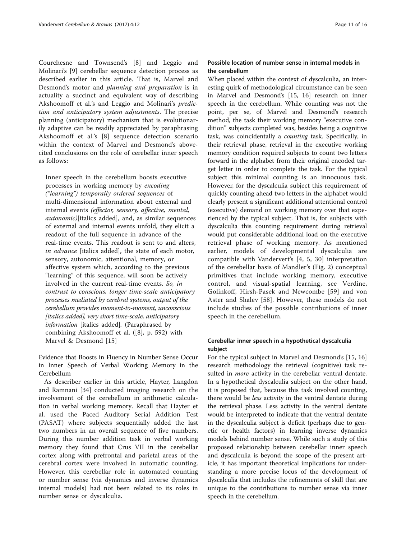Courchesne and Townsend's [[8\]](#page-13-0) and Leggio and Molinari's [\[9](#page-13-0)] cerebellar sequence detection process as described earlier in this article. That is, Marvel and Desmond's motor and planning and preparation is in actuality a succinct and equivalent way of describing Akshoomoff et al.'s and Leggio and Molinari's prediction and anticipatory system adjustments. The precise planning (anticipatory) mechanism that is evolutionarily adaptive can be readily appreciated by paraphrasing Akshoomoff et al.'s [\[8](#page-13-0)] sequence detection scenario within the context of Marvel and Desmond's abovecited conclusions on the role of cerebellar inner speech as follows:

Inner speech in the cerebellum boosts executive processes in working memory by encoding ("learning") temporally ordered sequences of multi-dimensional information about external and internal events (effector, sensory, affective, mental, autonomic)[italics added], and, as similar sequences of external and internal events unfold, they elicit a readout of the full sequence in advance of the real-time events. This readout is sent to and alters, in advance [italics added], the state of each motor, sensory, autonomic, attentional, memory, or affective system which, according to the previous "learning" of this sequence, will soon be actively involved in the current real-time events. So, in contrast to conscious, longer time-scale anticipatory processes mediated by cerebral systems, output of the cerebellum provides moment-to-moment, unconscious [italics added], very short time-scale, anticipatory information [italics added]. (Paraphrased by combining Akshoomoff et al. ([\[8](#page-13-0)], p. 592) with Marvel & Desmond [\[15](#page-13-0)]

Evidence that Boosts in Fluency in Number Sense Occur in Inner Speech of Verbal Working Memory in the Cerebellum

As describer earlier in this article, Hayter, Langdon and Ramnani [[34\]](#page-14-0) conducted imaging research on the involvement of the cerebellum in arithmetic calculation in verbal working memory. Recall that Hayter et al. used the Paced Auditory Serial Addition Test (PASAT) where subjects sequentially added the last two numbers in an overall sequence of five numbers. During this number addition task in verbal working memory they found that Crus VII in the cerebellar cortex along with prefrontal and parietal areas of the cerebral cortex were involved in automatic counting. However, this cerebellar role in automated counting or number sense (via dynamics and inverse dynamics internal models) had not been related to its roles in number sense or dyscalculia.

# Possible location of number sense in internal models in the cerebellum

When placed within the context of dyscalculia, an interesting quirk of methodological circumstance can be seen in Marvel and Desmond's [[15, 16](#page-13-0)] research on inner speech in the cerebellum. While counting was not the point, per se, of Marvel and Desmond's research method, the task their working memory "executive condition" subjects completed was, besides being a cognitive task, was coincidentally a counting task. Specifically, in their retrieval phase, retrieval in the executive working memory condition required subjects to count two letters forward in the alphabet from their original encoded target letter in order to complete the task. For the typical subject this minimal counting is an innocuous task. However, for the dyscalculia subject this requirement of quickly counting ahead two letters in the alphabet would clearly present a significant additional attentional control (executive) demand on working memory over that experienced by the typical subject. That is, for subjects with dyscalculia this counting requirement during retrieval would put considerable additional load on the executive retrieval phase of working memory. As mentioned earlier, models of developmental dyscalculia are compatible with Vandervert's [[4, 5](#page-13-0), [30](#page-14-0)] interpretation of the cerebellar basis of Mandler's (Fig. [2\)](#page-5-0) conceptual primitives that include working memory, executive control, and visual-spatial learning, see Verdine, Golinkoff, Hirsh-Pasek and Newcombe [\[59\]](#page-14-0) and von Aster and Shalev [[58](#page-14-0)]. However, these models do not include studies of the possible contributions of inner speech in the cerebellum.

# Cerebellar inner speech in a hypothetical dyscalculia subject

For the typical subject in Marvel and Desmond's [[15](#page-13-0), [16](#page-13-0)] research methodology the retrieval (cognitive) task resulted in *more* activity in the cerebellar ventral dentate. In a hypothetical dyscalculia subject on the other hand, it is proposed that, because this task involved counting, there would be less activity in the ventral dentate during the retrieval phase. Less activity in the ventral dentate would be interpreted to indicate that the ventral dentate in the dyscalculia subject is deficit (perhaps due to genetic or health factors) in learning inverse dynamics models behind number sense. While such a study of this proposed relationship between cerebellar inner speech and dyscalculia is beyond the scope of the present article, it has important theoretical implications for understanding a more precise locus of the development of dyscalculia that includes the refinements of skill that are unique to the contributions to number sense via inner speech in the cerebellum.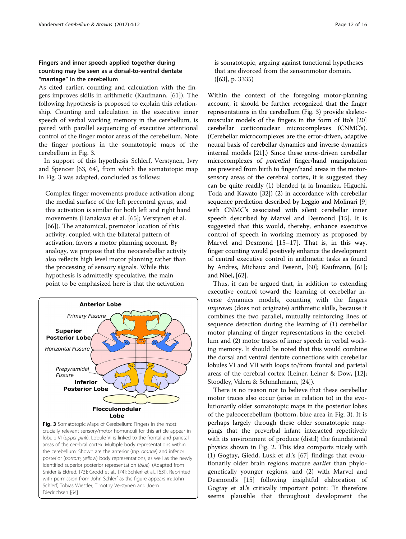# <span id="page-11-0"></span>Fingers and inner speech applied together during counting may be seen as a dorsal-to-ventral dentate "marriage" in the cerebellum

As cited earlier, counting and calculation with the fingers improves skills in arithmetic (Kaufmann, [[61](#page-14-0)]). The following hypothesis is proposed to explain this relationship. Counting and calculation in the executive inner speech of verbal working memory in the cerebellum, is paired with parallel sequencing of executive attentional control of the finger motor areas of the cerebellum. Note the finger portions in the somatotopic maps of the cerebellum in Fig. 3.

In support of this hypothesis Schlerf, Verstynen, Ivry and Spencer [\[63, 64\]](#page-14-0), from which the somatotopic map in Fig. 3 was adapted, concluded as follows:

Complex finger movements produce activation along the medial surface of the left precentral gyrus, and this activation is similar for both left and right hand movements (Hanakawa et al. [\[65\]](#page-14-0); Verstynen et al. [[66\]](#page-14-0)). The anatomical, premotor location of this activity, coupled with the bilateral pattern of activation, favors a motor planning account. By analogy, we propose that the neocerebellar activity also reflects high level motor planning rather than the processing of sensory signals. While this hypothesis is admittedly speculative, the main point to be emphasized here is that the activation



Fig. 3 Somatotopic Maps of Cerebellum: Fingers in the most crucially relevant sensory/motor homunculi for this article appear in lobule VI (upper pink). Lobule VI is linked to the frontal and parietal areas of the cerebral cortex. Multiple body representations within the cerebellum: Shown are the anterior (top, orange) and inferior posterior (bottom, yellow) body representations, as well as the newly identified superior posterior representation (blue). (Adapted from Snider & Eldred, [[73](#page-15-0)]; Grodd et al., [[74](#page-15-0)]; Schlerf et al., [[63\]](#page-14-0)). Reprinted with permission from John Schlerf as the figure appears in: John Schlerf, Tobias Wiestler, Timothy Verstynen and Joern Diedrichsen [[64](#page-14-0)]

is somatotopic, arguing against functional hypotheses that are divorced from the sensorimotor domain. ([\[63\]](#page-14-0), p. 3335)

Within the context of the foregoing motor-planning account, it should be further recognized that the finger representations in the cerebellum (Fig. 3) provide skeletomuscular models of the fingers in the form of Ito's [[20](#page-14-0)] cerebellar corticonuclear microcomplexes (CNMC's). (Cerebellar microcomplexes are the error-driven, adaptive neural basis of cerebellar dynamics and inverse dynamics internal models [\[21\]](#page-14-0).) Since these error-driven cerebellar microcomplexes of potential finger/hand manipulation are prewired from birth to finger/hand areas in the motorsensory areas of the cerebral cortex, it is suggested they can be quite readily (1) blended (a la Imamizu, Higuchi, Toda and Kawato [\[32](#page-14-0)]) (2) in accordance with cerebellar sequence prediction described by Leggio and Molinari [[9](#page-13-0)] with CNMC's associated with silent cerebellar inner speech described by Marvel and Desmond [[15](#page-13-0)]. It is suggested that this would, thereby, enhance executive control of speech in working memory as proposed by Marvel and Desmond [\[15](#page-13-0)–[17](#page-13-0)]. That is, in this way, finger counting would positively enhance the development of central executive control in arithmetic tasks as found by Andres, Michaux and Pesenti, [[60](#page-14-0)]; Kaufmann, [[61](#page-14-0)]; and Nöel, [\[62\]](#page-14-0).

Thus, it can be argued that, in addition to extending executive control toward the learning of cerebellar inverse dynamics models, counting with the fingers improves (does not originate) arithmetic skills, because it combines the two parallel, mutually reinforcing lines of sequence detection during the learning of (1) cerebellar motor planning of finger representations in the cerebellum and (2) motor traces of inner speech in verbal working memory. It should be noted that this would combine the dorsal and ventral dentate connections with cerebellar lobules VI and VII with loops to/from frontal and parietal areas of the cerebral cortex (Leiner, Leiner & Dow, [[12](#page-13-0)]; Stoodley, Valera & Schmahmann, [[24](#page-14-0)]).

There is no reason not to believe that these cerebellar motor traces also occur (arise in relation to) in the evolutionarily older somatotopic maps in the posterior lobes of the paleocerebellum (bottom, blue area in Fig. 3). It is perhaps largely through these older somatotopic mappings that the preverbal infant interacted repetitively with its environment of produce (distil) the foundational physics shown in Fig. [2.](#page-5-0) This idea comports nicely with (1) Gogtay, Giedd, Lusk et al.'s [\[67](#page-14-0)] findings that evolutionarily older brain regions mature earlier than phylogenetically younger regions, and (2) with Marvel and Desmond's [[15\]](#page-13-0) following insightful elaboration of Gogtay et al.'s critically important point: "It therefore seems plausible that throughout development the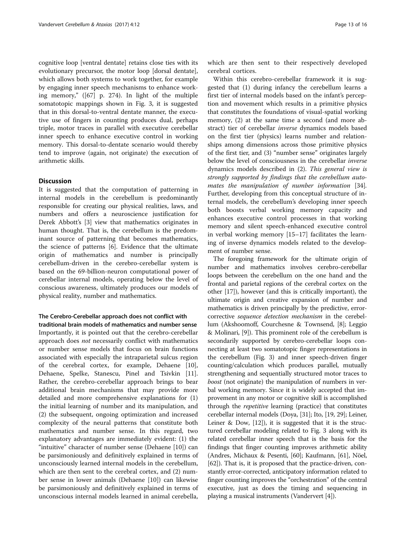cognitive loop [ventral dentate] retains close ties with its evolutionary precursor, the motor loop [dorsal dentate], which allows both systems to work together, for example by engaging inner speech mechanisms to enhance working memory," ([\[67\]](#page-14-0) p. 274). In light of the multiple somatotopic mappings shown in Fig. [3](#page-11-0), it is suggested that in this dorsal-to-ventral dentate manner, the executive use of fingers in counting produces dual, perhaps triple, motor traces in parallel with executive cerebellar inner speech to enhance executive control in working memory. This dorsal-to-dentate scenario would thereby tend to improve (again, not originate) the execution of arithmetic skills.

#### **Discussion**

It is suggested that the computation of patterning in internal models in the cerebellum is predominantly responsible for creating our physical realities, laws, and numbers and offers a neuroscience justification for Derek Abbott's [[3\]](#page-13-0) view that mathematics originates in human thought. That is, the cerebellum is the predominant source of patterning that becomes mathematics, the science of patterns [\[6](#page-13-0)]. Evidence that the ultimate origin of mathematics and number is principally cerebellum-driven in the cerebro-cerebellar system is based on the 69-billion-neuron computational power of cerebellar internal models, operating below the level of conscious awareness, ultimately produces our models of physical reality, number and mathematics.

#### The Cerebro-Cerebellar approach does not conflict with

traditional brain models of mathematics and number sense Importantly, it is pointed out that the cerebro-cerebellar approach does not necessarily conflict with mathematics or number sense models that focus on brain functions associated with especially the intraparietal sulcus region of the cerebral cortex, for example, Dehaene [\[10](#page-13-0)], Dehaene, Spelke, Stanescu, Pinel and Tsivkin [\[11](#page-13-0)]. Rather, the cerebro-cerebellar approach brings to bear additional brain mechanisms that may provide more detailed and more comprehensive explanations for (1) the initial learning of number and its manipulation, and (2) the subsequent, ongoing optimization and increased complexity of the neural patterns that constitute both mathematics and number sense. In this regard, two explanatory advantages are immediately evident: (1) the "intuitive" character of number sense (Dehaene [\[10\]](#page-13-0)) can be parsimoniously and definitively explained in terms of unconsciously learned internal models in the cerebellum, which are then sent to the cerebral cortex, and (2) number sense in lower animals (Dehaene [[10\]](#page-13-0)) can likewise be parsimoniously and definitively explained in terms of unconscious internal models learned in animal cerebella,

which are then sent to their respectively developed cerebral cortices.

Within this cerebro-cerebellar framework it is suggested that (1) during infancy the cerebellum learns a first tier of internal models based on the infant's perception and movement which results in a primitive physics that constitutes the foundations of visual-spatial working memory, (2) at the same time a second (and more abstract) tier of cerebellar inverse dynamics models based on the first tier (physics) learns number and relationships among dimensions across those primitive physics of the first tier, and (3) "number sense" originates largely below the level of consciousness in the cerebellar inverse dynamics models described in (2). This general view is strongly supported by findings that the cerebellum automates the manipulation of number information [\[34](#page-14-0)]. Further, developing from this conceptual structure of internal models, the cerebellum's developing inner speech both boosts verbal working memory capacity and enhances executive control processes in that working memory and silent speech-enhanced executive control in verbal working memory [\[15](#page-13-0)–[17\]](#page-13-0) facilitates the learning of inverse dynamics models related to the development of number sense.

The foregoing framework for the ultimate origin of number and mathematics involves cerebro-cerebellar loops between the cerebellum on the one hand and the frontal and parietal regions of the cerebral cortex on the other [[17](#page-13-0)]), however (and this is critically important), the ultimate origin and creative expansion of number and mathematics is driven principally by the predictive, errorcorrective sequence detection mechanism in the cerebellum (Akshoomoff, Courchesne & Townsend, [[8\]](#page-13-0); Leggio & Molinari, [[9\]](#page-13-0)). This prominent role of the cerebellum is secondarily supported by cerebro-cerebellar loops connecting at least two somatotopic finger representations in the cerebellum (Fig. [3\)](#page-11-0) and inner speech-driven finger counting/calculation which produces parallel, mutually strengthening and sequentially structured motor traces to boost (not originate) the manipulation of numbers in verbal working memory. Since it is widely accepted that improvement in any motor or cognitive skill is accomplished through the repetitive learning (practice) that constitutes cerebellar internal models (Doya, [\[31\]](#page-14-0); Ito, [[19](#page-14-0), [29\]](#page-14-0); Leiner, Leiner & Dow, [[12](#page-13-0)]), it is suggested that it is the structured cerebellar modeling related to Fig. [3](#page-11-0) along with its related cerebellar inner speech that is the basis for the findings that finger counting improves arithmetic ability (Andres, Michaux & Pesenti, [[60](#page-14-0)]; Kaufmann, [[61](#page-14-0)], Nöel, [[62](#page-14-0)]). That is, it is proposed that the practice-driven, constantly error-corrected, anticipatory information related to finger counting improves the "orchestration" of the central executive, just as does the timing and sequencing in playing a musical instruments (Vandervert [\[4](#page-13-0)]).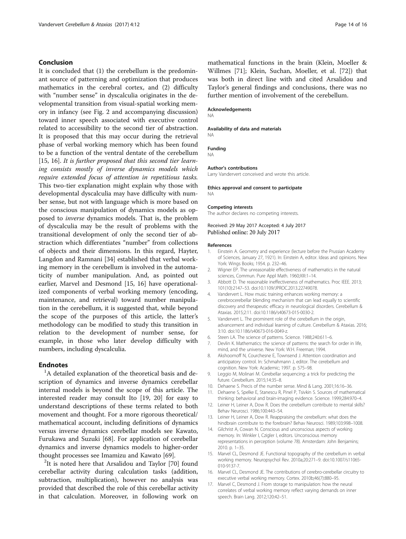#### <span id="page-13-0"></span>Conclusion

It is concluded that (1) the cerebellum is the predominant source of patterning and optimization that produces mathematics in the cerebral cortex, and (2) difficulty with "number sense" in dyscalculia originates in the developmental transition from visual-spatial working memory in infancy (see Fig. [2](#page-5-0) and accompanying discussion) toward inner speech associated with executive control related to accessibility to the second tier of abstraction. It is proposed that this may occur during the retrieval phase of verbal working memory which has been found to be a function of the ventral dentate of the cerebellum  $[15, 16]$ . It is further proposed that this second tier learning consists mostly of inverse dynamics models which require extended focus of attention in repetitious tasks. This two-tier explanation might explain why those with developmental dyscalculia may have difficulty with number sense, but not with language which is more based on the conscious manipulation of dynamics models as opposed to inverse dynamics models. That is, the problem of dyscalculia may be the result of problems with the transitional development of only the second tier of abstraction which differentiates "number" from collections of objects and their dimensions. In this regard, Hayter, Langdon and Ramnani [\[34](#page-14-0)] established that verbal working memory in the cerebellum is involved in the automaticity of number manipulation. And, as pointed out earlier, Marvel and Desmond [15, 16] have operationalized components of verbal working memory (encoding, maintenance, and retrieval) toward number manipulation in the cerebellum, it is suggested that, while beyond the scope of the purposes of this article, the latter's methodology can be modified to study this transition in relation to the development of number sense, for example, in those who later develop difficulty with numbers, including dyscalculia.

#### **Endnotes**

<sup>1</sup>A detailed explanation of the theoretical basis and description of dynamics and inverse dynamics cerebellar internal models is beyond the scope of this article. The interested reader may consult Ito [[19, 20\]](#page-14-0) for easy to understand descriptions of these terms related to both movement and thought. For a more rigorous theoretical/ mathematical account, including definitions of dynamics versus inverse dynamics cerebellar models see Kawato, Furukawa and Suzuki [[68\]](#page-14-0). For application of cerebellar dynamics and inverse dynamics models to higher-order thought processes see Imamizu and Kawato [\[69](#page-14-0)]. <sup>2</sup>

 $2$ It is noted here that Arsalidou and Taylor [\[70\]](#page-14-0) found cerebellar activity during calculation tasks (addition, subtraction, multiplication), however no analysis was provided that described the role of this cerebellar activity in that calculation. Moreover, in following work on mathematical functions in the brain (Klein, Moeller & Willmes [[71\]](#page-15-0); Klein, Suchan, Moeller, et al. [\[72](#page-15-0)]) that was both in direct line with and cited Arsalidou and Taylor's general findings and conclusions, there was no further mention of involvement of the cerebellum.

#### Acknowledgements

NA

#### Availability of data and materials

NA

#### Funding

NA

#### Author's contributions

Larry Vandervert conceived and wrote this article.

### Ethics approval and consent to participate

NA

#### Competing interests

The author declares no competing interests.

Received: 29 May 2017 Accepted: 4 July 2017 Published online: 20 July 2017

#### References

- 1. Einstein A. Geometry and experience (lecture before the Prussian Academy of Sciences, January 27, 1921). In: Einstein A, editor. Ideas and opinions. New York: Wings Books; 1954. p. 232–46.
- 2. Wigner EP. The unreasonable effectiveness of mathematics in the natural sciences, Commun. Pure Appl Math. 1960;XIII:1-14.
- 3. Abbott D. The reasonable ineffectiveness of mathematics. Proc IEEE. 2013; 101(10):2147–53. doi[:10.1109/JPROC.2013.22749078](http://dx.doi.org/10.1109/JPROC.2013.22749078).
- 4. Vandervert L. How music training enhances working memory: a cerebrocerebellar blending mechanism that can lead equally to scientific discovery and therapeutic efficacy in neurological disorders. Cerebellum & Ataxias. 2015;2:11. doi:[10.1186/s40673-015-0030-2](http://dx.doi.org/10.1186/s40673-015-0030-2).
- 5. Vandervert L. The prominent role of the cerebellum in the origin, advancement and individual learning of culture. Cerebellum & Ataxias. 2016; 3:10. doi:[10.1186/s40673-016-0049-z.](http://dx.doi.org/10.1186/s40673-016-0049-z)
- 6. Steen LA. The science of patterns. Science. 1988;240:611–6.
- 7. Devlin K. Mathematics: the science of patterns: the search for order in life, mind, and the universe. New York: W.H. Freeman; 1994.
- 8. Akshoomoff N, Courchesne E, Townsend J. Attention coordination and anticipatory control. In: Schmahmann J, editor. The cerebellum and cognition. New York: Academic; 1997. p. 575–98.
- 9. Leggio M, Molinari M. Cerebellar sequencing: a trick for predicting the future. Cerebellum. 2015;14:35–8.
- 10. Dehaene S. Precis of the number sense. Mind & Lang. 2001;16:16–36.
- 11. Dehaene S, Spelke E, Stanescu R, Pinel P, Tsivkin S. Sources of mathematical thinking: behavioral and brain-imaging evidence. Science. 1999;284:970–4.
- 12. Leiner H, Leiner A, Dow R. Does the cerebellum contribute to mental skills? Behav Neurosci. 1986;100:443–54.
- 13. Leiner H, Leiner A, Dow R. Reappraising the cerebellum: what does the hindbrain contribute to the forebrain? Behav Neurosci. 1989;103:998–1008.
- 14. Gilchrist A, Cowan N. Conscious and unconscious aspects of working memory. In: Winkler I, Czigler I, editors. Unconscious memory representations in perception (volume 78). Amsterdam: John Benjamins; 2010. p. 1–35.
- 15. Marvel CL, Desmond JE. Functional topography of the cerebellum in verbal working memory. Neuropsychol Rev. 2010a;20:271–9. doi:[10.1007/s11065-](http://dx.doi.org/10.1007/s11065-010-9137-7) [010-9137-7](http://dx.doi.org/10.1007/s11065-010-9137-7).
- 16. Marvel CL, Desmond JE. The contributions of cerebro-cerebellar circuitry to executive verbal working memory. Cortex. 2010b;46(7):880–95.
- 17. Marvel C, Desmond J. From storage to manipulation: how the neural correlates of verbal working memory reflect varying demands on inner speech. Brain Lang. 2012;120:42–51.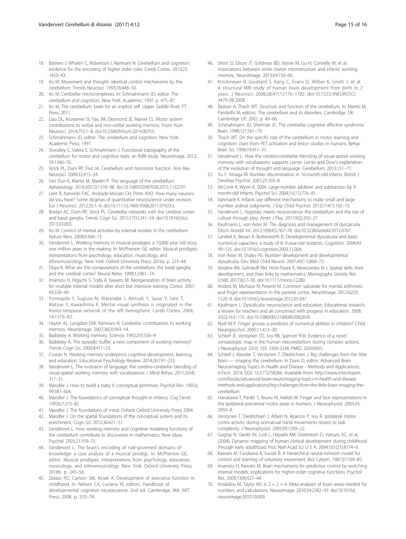- <span id="page-14-0"></span>18. Balsters J, Whalen C, Robertson I, Ramnani N. Cerebellum and cognition: evidence for the encoding of higher order rules. Cereb Cortex. 2013;23: 1433–43.
- 19. Ito M. Movement and thought: identical control mechanisms by the cerebellum. Trends Neurosci. 1993;16:448–50.
- 20. Ito M. Cerebellar microcomplexes. In: Schmahmann JD, editor. The cerebellum and cognition. New York: Academic; 1997. p. 475–87.
- 21. Ito M. The cerebellum: brain for an implicit self. Upper Saddle River: FT Press; 2011.
- 22. Liao DL, Kronemer SI, Yau JM, Desmond JE, Marvel CL. Motor system contributions to verbal and non-verbal working memory. Front Hum Neurosci. 2014;753:1–8. doi:[10.3389/fnhum.2014.00753](http://dx.doi.org/10.3389/fnhum.2014.00753).
- 23. Schmahmann JD, editor. The cerebellum and cognition. New York: Academic Press; 1997.
- 24. Stoodley C, Valera E, Schmahmann J. Functional topography of the cerebellum for motor and cognitive tasks: an fMRI study. NeuroImage. 2012; 59:1560–70.
- 25. Strick PL, Dum RP, Fiez JA. Cerebellum and nonmotor function. Ann Rev Neurosci. 2009;32:413–34.
- 26. Van Dun K, Manto M, Mariën P. The language of the cerebellum. Aphasiology. 2016;30(12):1378–98. doi[:10.1080/02687038.2015.1132297](http://dx.doi.org/10.1080/02687038.2015.1132297).
- 27. Lent R, Azevedo FAC, Andrade-Moraes CH, Pinto AVO. How many neurons do you have? Some dogmas of quantitative neuroscience under revision. Eur J Neurosci. 2012;35:1–9. doi[:10.1111/j.1460-9568.2011.07923.x.](http://dx.doi.org/10.1111/j.1460-9568.2011.07923.x)
- 28. Bostan AC, Dum RP, Strick PL. Cerebellar networks with the cerebral cortex and basal ganglia. Trends Cogn Sci. 2013;17(5):241–54. doi[:10.1016/j.tics.](http://dx.doi.org/10.1016/j.tics.2013.03.003) [2013.03.003.](http://dx.doi.org/10.1016/j.tics.2013.03.003)
- 29. Ito M. Control of mental activities by internal models in the cerebellum. Nature Revs. 2008;9:304–13.
- 30. Vandervert L. Working memory in musical prodigies: a 10,000 year old story, one million years in the making. In: McPherson GE, editor. Musical prodigies: interpretations from psychology, education, musicology, and ethnomusicology. New York: Oxford University Press; 2016a. p. 223–44.
- 31. Doya K. What are the computations of the cerebellum, the basal ganglia, and the cerebral cortex? Neural Netw. 1999;12:961–74.
- 32. Imamizu H, Higuchi S, Toda A, Kawato M. Reorganization of brain activity for multiple internal models after short but intensive training. Cortex. 2007; 43:338–49.
- 33. Yomogida Y, Sugiura M, Watanabe J, Akitsuki Y, Sassa Y, Sato T, Matsue Y, Kawashima R. Mental visual synthesis is originated in the fronto-temporal network of the left hemisphere. Cereb Cortex. 2004; 14:1376–83.
- 34. Hayter AL, Langdon DW, Ramnani N. Cerebellar contributions to working memory. NeuroImage. 2007;36(3):943–54.
- 35. Baddeley A. Working memory. Science. 1992;255:556–9.
- 36. Baddeley A. The episodic buffer: a new component of working memory? Trends Cogn Sci. 2000;4:417–23.
- 37. Cowan N. Working memory underpinns cognitive development, learning, and education. Educational Pyschology Review. 2014;26:197–233.
- 38. Vandervert L. The evolution of language: the cerebro-cerebellar blending of visual-spatial working memory with vocalizations. J Mind Behav. 2011;32(4): 317–31.
- 39. Mandler J. How to build a baby II: conceptual primitives. Psychol Rev. 1992a; 99:587–604.
- 40. Mandler J. The foundations of conceptual thought in infancy. Cog Devel. 1992b;7:273–82.
- 41. Mandler J. The foundations of mind. Oxford: Oxford University Press; 2004.
- 42. Mandler J. On the spatial foundations of the conceptual system and its enrichment. Cogn Sci. 2012;36:421–51.
- 43. Vandervert L. How working memory and cognitive modeling functions of the cerebellum contribute to discoveries in mathematics. New Ideas Psychol. 2003;21:159–75.
- 44. Vandervert L. The brain's encoding of rule-governed domains of knowledge: a case analysis of a musical prodigy. In: McPherson GE, editor. Musical prodigies: interpretations from psychology, education, musicology, and ethnomusicology. New York: Oxford University Press; 2016b. p. 245–58.
- 45. Zelazo PD, Carlson SM, Kesek A. Development of executive function in childhood. In: Nelson CA, Luciana M, editors. Handbook of developmental cognitive neuroscience. 2nd ed. Cambridge, MA: MIT Press; 2008. p. 553–74.
- 46. Short SJ, Elison JT, Goldman BD, Styner M, Gu H, Connelly M, et al. Associations between white matter microstructure and infants' working memory. NeuroImage. 2013;64:156–66.
- 47. Knickmeyer R, Gouttard S, Kang C, Evans D, Wilber K, Smith J, et al. A structural MRI study of human brain development from birth to 2 years. J Neurosci. 2008;28(47):12176–1182. doi[:10.1523/JNEUROSCI.](http://dx.doi.org/10.1523/JNEUROSCI.3479-08.2008) [3479-08.2008](http://dx.doi.org/10.1523/JNEUROSCI.3479-08.2008).
- 48. Bastian A, Thach WT. Structure and function of the cerebellum. In: Manto M Pandolfo M, editors. The cerebellum and its disorders. Cambridge, UK: Cambridge UP; 2002. p. 49–66.
- 49. Schmahmann JD, Sherman JC. The cerebellar cognitive affective syndrome. Brain. 1998;121:561–79.
- 50. Thach WT. On the specific role of the cerebellum in motor learning and cognition: clues from PET activation and lesion studies in humans. Behav Brain Sci. 1996;19:411–31.
- 51. Vandervert L. How the cerebro-cerebellar blending of visual-spatial working memory with vocalizations supports Leiner, Leiner and Dow's explanation of the evolution of thought and language. Cerebellum. 2013:151–71.
- 52. Xu F, Arriaga RI. Number discrimination in 10-month-old infants. British J Develop Psychol. 2007;25:103–8.
- 53. McCrink K, Wynn K. 2004. Large-number addition and subtraction by 9 month-old infants. Psychol Sci. 2004;15(11):776–81.
- 54. Vanmarle K. Infants use different mechanisms to make small and large number ordinal judgments. J Exp Child Psychol. 2013;114(1):102–10.
- Vandervert L. Vygotsky meets neuroscience: the cerebellum and the rise of culture through play. Amer J Play. 2017;9(2):202–27.
- 56. Kaufmann L, von Aster M. The diagnosis and management of dyscalculia. Dtsch Arztebl Int. 2012;109(45):767–78. doi[:10.3238/arztebl.2012.0767.](http://dx.doi.org/10.3238/arztebl.2012.0767)
- Landerl K, Bevan A, Butterworth B. Developmental dyscalculia and basic numerical capacities: a study of 8–9-year-old students. Cognition. 2004;93: 99–125. doi:[10.1016/j.cognition.2003.11.004](http://dx.doi.org/10.1016/j.cognition.2003.11.004).
- 58. Von Aster M, Shalev RS. Number development and developmental dyscalculia. Dev Med Child Neurol. 2007;49(11):868–73.
- 59. Verdine BN, Golinkoff RM, Hirsh-Pasek K, Newcombe N. I. Spatial skills, their development, and their links to mathematics. Monographs Society Res Child. 2017;82:7–30. doi:[10.1111/mono.12280](http://dx.doi.org/10.1111/mono.12280).
- 60. Andres M, Michaux N, Pesenti M. Common substrate for mental arithmetic and finger representation in the parietal cortex. NeuroImage. 2012;62(3): 1520–8. doi:[10.1016/j.neuroimage.2012.05.047.](http://dx.doi.org/10.1016/j.neuroimage.2012.05.047)
- 61. Kaufmann L. Dyscalculia: neuroscience and education. Educational research; a review for teachers and all concerned with progress in education. 2008; 50(2):163–175. doi:[10.1080/00131880802082658.](http://dx.doi.org/10.1080/00131880802082658)
- 62. Noël M-P. Finger gnosia: a predictor of numerical abilities in children? Child Neuropsychol. 2005;11:413–30.
- 63. Schlerf JE, Verstynen TD, Ivry RB, Spencer R.M. Evidence of a novel somatotopic map in the human neocerebellum during complex actions. J Neurophysiol 2010; 103: 3330-3336. PMID: 20393055.
- 64. Schlerf J, Wiestler T, Verstynen T, Diedrichsen J. Big challenges from the little brain — imaging the cerebellum. In Duric D, editor. Advanced Brain Neuroimaging Topics in Health and Disease - Methods and Applications. InTech. 2014. DOI: [10.5772/58266](http://dx.doi.org/10.5772/58266). Available from: [http://www.intechopen.](http://www.intechopen.com/books/advanced-brain-neuroimaging-topics-in-health-and-disease-methods-and-applications/big-challenges-from-the-little-brain-imaging-the-cerebellum) [com/books/advanced-brain-neuroimaging-topics-in-health-and-disease](http://www.intechopen.com/books/advanced-brain-neuroimaging-topics-in-health-and-disease-methods-and-applications/big-challenges-from-the-little-brain-imaging-the-cerebellum)[methods-and-applications/big-challenges-from-the-little-brain-imaging-the](http://www.intechopen.com/books/advanced-brain-neuroimaging-topics-in-health-and-disease-methods-and-applications/big-challenges-from-the-little-brain-imaging-the-cerebellum)[cerebellum](http://www.intechopen.com/books/advanced-brain-neuroimaging-topics-in-health-and-disease-methods-and-applications/big-challenges-from-the-little-brain-imaging-the-cerebellum)
- 65. Hanakawa T, Parikh S, Bruno M, Hallett M. Finger and face representations in the ipsilateral precentral motor areas in humans. J Neurophysiol. 2005;93: 2950–8.
- 66. Verstynen T, Diedrichsen J, Albert N, Aparicio P, Ivry R. Ipsilateral motor cortex activity during unimanual hand movements relates to task complexity. J Neurophysiol. 2005;93:1209–22.
- 67. Gogtay N, Giedd JN, Lusk L, Hayashi KM, Greenstein D, Vaituzis AC, et al. (2004). Dynamic mapping of human cortical development during childhood through early adulthood. Proc Natl Acad Sci U S A. 2004;101(21):8174–9.
- 68. Kawato M, Furukawa K, Suzuki R. A hierarchical neural-network model for control and learning of voluntary movement. Biol Cybern. 1987;57:169–85.
- 69. Imamizu H, Kawato M. Brain mechanisms for predictive control by switching internal models: implications for higher-order cognitive functions. Psychol Res. 2009;73(4):527–44.
- 70. Arsalidou M, Taylor MJ. Is  $2 + 2 = 4$ . Meta-analyses of brain areas needed for numbers and calculations. NeuroImage. 2010;54:2382–93. doi:[10.1016/j.](http://dx.doi.org/10.1016/j.neuroimage.2010.10.009) [neuroimage.2010.10.009.](http://dx.doi.org/10.1016/j.neuroimage.2010.10.009)